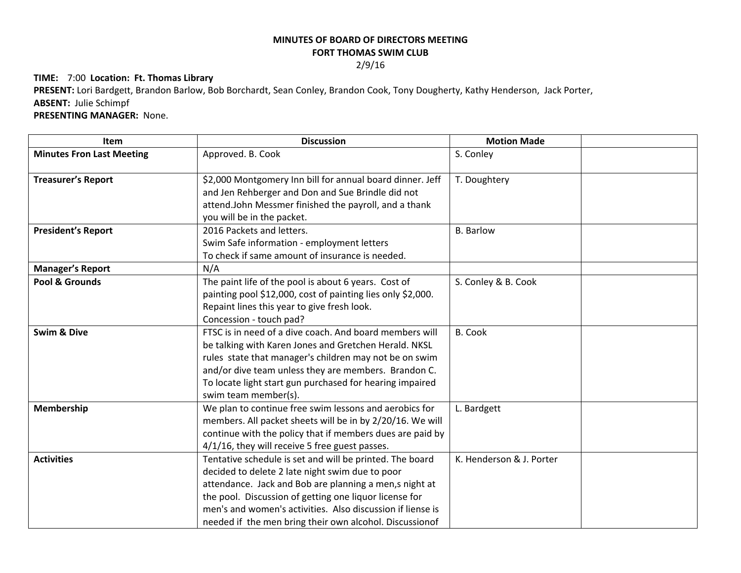## **MINUTES OF BOARD OF DIRECTORS MEETING**

## **FORT THOMAS SWIM CLUB**

2/9/16

## **TIME:** 7:00 **Location: Ft. Thomas Library**

**PRESENT:** Lori Bardgett, Brandon Barlow, Bob Borchardt, Sean Conley, Brandon Cook, Tony Dougherty, Kathy Henderson, Jack Porter, **ABSENT:** Julie Schimpf

## **PRESENTING MANAGER:** None.

| Item                             | <b>Discussion</b>                                                                                                                                                                                                                                                                                                                                        | <b>Motion Made</b>       |  |
|----------------------------------|----------------------------------------------------------------------------------------------------------------------------------------------------------------------------------------------------------------------------------------------------------------------------------------------------------------------------------------------------------|--------------------------|--|
| <b>Minutes Fron Last Meeting</b> | Approved. B. Cook                                                                                                                                                                                                                                                                                                                                        | S. Conley                |  |
| <b>Treasurer's Report</b>        | \$2,000 Montgomery Inn bill for annual board dinner. Jeff<br>and Jen Rehberger and Don and Sue Brindle did not<br>attend.John Messmer finished the payroll, and a thank<br>you will be in the packet.                                                                                                                                                    | T. Doughtery             |  |
| <b>President's Report</b>        | 2016 Packets and letters.<br>Swim Safe information - employment letters<br>To check if same amount of insurance is needed.                                                                                                                                                                                                                               | <b>B.</b> Barlow         |  |
| <b>Manager's Report</b>          | N/A                                                                                                                                                                                                                                                                                                                                                      |                          |  |
| Pool & Grounds                   | The paint life of the pool is about 6 years. Cost of<br>painting pool \$12,000, cost of painting lies only \$2,000.<br>Repaint lines this year to give fresh look.<br>Concession - touch pad?                                                                                                                                                            | S. Conley & B. Cook      |  |
| <b>Swim &amp; Dive</b>           | FTSC is in need of a dive coach. And board members will<br>be talking with Karen Jones and Gretchen Herald. NKSL<br>rules state that manager's children may not be on swim<br>and/or dive team unless they are members. Brandon C.<br>To locate light start gun purchased for hearing impaired<br>swim team member(s).                                   | <b>B.</b> Cook           |  |
| Membership                       | We plan to continue free swim lessons and aerobics for<br>members. All packet sheets will be in by 2/20/16. We will<br>continue with the policy that if members dues are paid by<br>4/1/16, they will receive 5 free guest passes.                                                                                                                       | L. Bardgett              |  |
| <b>Activities</b>                | Tentative schedule is set and will be printed. The board<br>decided to delete 2 late night swim due to poor<br>attendance. Jack and Bob are planning a men,s night at<br>the pool. Discussion of getting one liquor license for<br>men's and women's activities. Also discussion if liense is<br>needed if the men bring their own alcohol. Discussionof | K. Henderson & J. Porter |  |